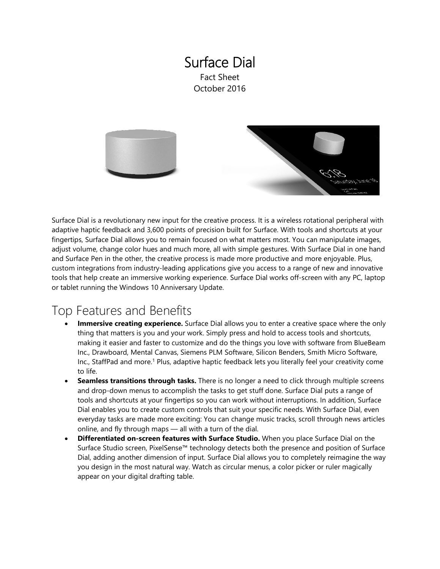### Surface Dial Fact Sheet October 2016



Surface Dial is a revolutionary new input for the creative process. It is a wireless rotational peripheral with adaptive haptic feedback and 3,600 points of precision built for Surface. With tools and shortcuts at your fingertips, Surface Dial allows you to remain focused on what matters most. You can manipulate images, adjust volume, change color hues and much more, all with simple gestures. With Surface Dial in one hand and Surface Pen in the other, the creative process is made more productive and more enjoyable. Plus, custom integrations from industry-leading applications give you access to a range of new and innovative tools that help create an immersive working experience. Surface Dial works off-screen with any PC, laptop or tablet running the Windows 10 Anniversary Update.

# Top Features and Benefits

- **Immersive creating experience.** Surface Dial allows you to enter a creative space where the only thing that matters is you and your work. Simply press and hold to access tools and shortcuts, making it easier and faster to customize and do the things you love with software from BlueBeam Inc., Drawboard, Mental Canvas, Siemens PLM Software, Silicon Benders, Smith Micro Software, Inc., StaffPad and more.1 Plus, adaptive haptic feedback lets you literally feel your creativity come to life.
- **Seamless transitions through tasks.** There is no longer a need to click through multiple screens and drop-down menus to accomplish the tasks to get stuff done. Surface Dial puts a range of tools and shortcuts at your fingertips so you can work without interruptions. In addition, Surface Dial enables you to create custom controls that suit your specific needs. With Surface Dial, even everyday tasks are made more exciting: You can change music tracks, scroll through news articles online, and fly through maps — all with a turn of the dial.
- **Differentiated on-screen features with Surface Studio.** When you place Surface Dial on the Surface Studio screen, PixelSense™ technology detects both the presence and position of Surface Dial, adding another dimension of input. Surface Dial allows you to completely reimagine the way you design in the most natural way. Watch as circular menus, a color picker or ruler magically appear on your digital drafting table.